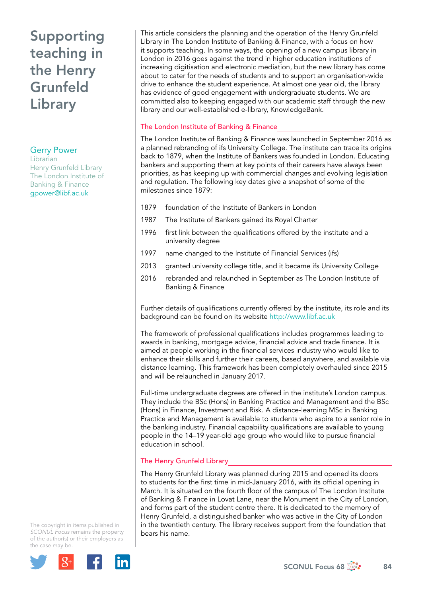# Supporting teaching in the Henry Grunfeld Library

#### Gerry Power

Librarian Henry Grunfeld Library The London Institute of Banking & Finance [gpower@libf.ac.uk](file:///Users/stevegardner/Desktop/Focus%2068/gpower@libf.ac.uk) 

This article considers the planning and the operation of the Henry Grunfeld Library in The London Institute of Banking & Finance, with a focus on how it supports teaching. In some ways, the opening of a new campus library in London in 2016 goes against the trend in higher education institutions of increasing digitisation and electronic mediation, but the new library has come about to cater for the needs of students and to support an organisation-wide drive to enhance the student experience. At almost one year old, the library has evidence of good engagement with undergraduate students. We are committed also to keeping engaged with our academic staff through the new library and our well-established e-library, KnowledgeBank.

### The London Institute of Banking & Finance

The London Institute of Banking & Finance was launched in September 2016 as a planned rebranding of ifs University College. The institute can trace its origins back to 1879, when the Institute of Bankers was founded in London. Educating bankers and supporting them at key points of their careers have always been priorities, as has keeping up with commercial changes and evolving legislation and regulation. The following key dates give a snapshot of some of the milestones since 1879:

- 1879 foundation of the Institute of Bankers in London
- 1987 The Institute of Bankers gained its Royal Charter
- 1996 first link between the qualifications offered by the institute and a university degree
- 1997 name changed to the Institute of Financial Services (ifs)
- 2013 granted university college title, and it became ifs University College
- 2016 rebranded and relaunched in September as The London Institute of Banking & Finance

Further details of qualifications currently offered by the institute, its role and its background can be found on its website<http://www.libf.ac.uk>

The framework of professional qualifications includes programmes leading to awards in banking, mortgage advice, financial advice and trade finance. It is aimed at people working in the financial services industry who would like to enhance their skills and further their careers, based anywhere, and available via distance learning. This framework has been completely overhauled since 2015 and will be relaunched in January 2017.

Full-time undergraduate degrees are offered in the institute's London campus. They include the BSc (Hons) in Banking Practice and Management and the BSc (Hons) in Finance, Investment and Risk. A distance-learning MSc in Banking Practice and Management is available to students who aspire to a senior role in the banking industry. Financial capability qualifications are available to young people in the 14–19 year-old age group who would like to pursue financial education in school.

### The Henry Grunfeld Library

The Henry Grunfeld Library was planned during 2015 and opened its doors to students for the first time in mid-January 2016, with its official opening in March. It is situated on the fourth floor of the campus of The London Institute of Banking & Finance in Lovat Lane, near the Monument in the City of London, and forms part of the student centre there. It is dedicated to the memory of Henry Grunfeld, a distinguished banker who was active in the City of London in the twentieth century. The library receives support from the foundation that bears his name.

The copyright in items published in *SCONUL Focus* remains the property of the author(s) or their employers as the case may be.

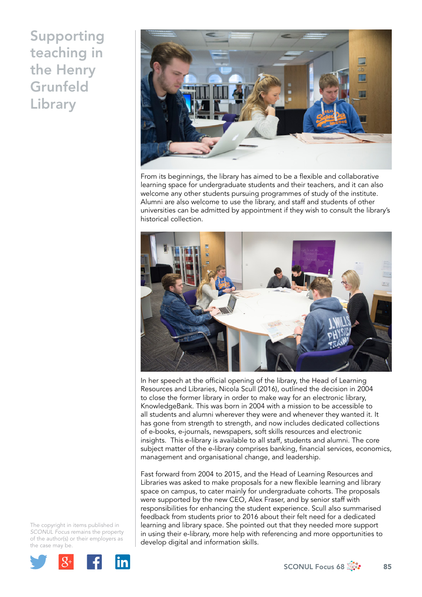## Supporting teaching in the Henry **Grunfeld** Library



From its beginnings, the library has aimed to be a flexible and collaborative learning space for undergraduate students and their teachers, and it can also welcome any other students pursuing programmes of study of the institute. Alumni are also welcome to use the library, and staff and students of other universities can be admitted by appointment if they wish to consult the library's historical collection.



In her speech at the official opening of the library, the Head of Learning Resources and Libraries, Nicola Scull (2016), outlined the decision in 2004 to close the former library in order to make way for an electronic library, KnowledgeBank. This was born in 2004 with a mission to be accessible to all students and alumni wherever they were and whenever they wanted it. It has gone from strength to strength, and now includes dedicated collections of e-books, e-journals, newspapers, soft skills resources and electronic insights. This e-library is available to all staff, students and alumni. The core subject matter of the e-library comprises banking, financial services, economics, management and organisational change, and leadership.

Fast forward from 2004 to 2015, and the Head of Learning Resources and Libraries was asked to make proposals for a new flexible learning and library space on campus, to cater mainly for undergraduate cohorts. The proposals were supported by the new CEO, Alex Fraser, and by senior staff with responsibilities for enhancing the student experience. Scull also summarised feedback from students prior to 2016 about their felt need for a dedicated learning and library space. She pointed out that they needed more support in using their e-library, more help with referencing and more opportunities to develop digital and information skills.

The copyright in items published in *SCONUL Focus* remains the property of the author(s) or their employers as the case may be.

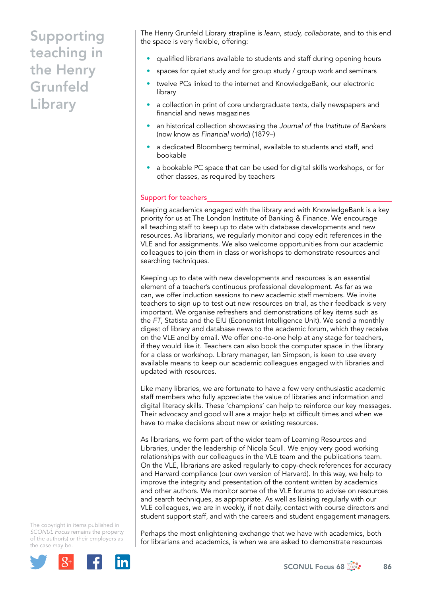## Supporting teaching in the Henry Grunfeld Library

The Henry Grunfeld Library strapline is *learn, study, collaborate*, and to this end the space is very flexible, offering:

- qualified librarians available to students and staff during opening hours
- spaces for quiet study and for group study / group work and seminars
- twelve PCs linked to the internet and KnowledgeBank, our electronic library
- a collection in print of core undergraduate texts, daily newspapers and financial and news magazines
- an historical collection showcasing the *Journal of the Institute of Bankers* (now know as *Financial world*) (1879–)
- a dedicated Bloomberg terminal, available to students and staff, and bookable
- a bookable PC space that can be used for digital skills workshops, or for other classes, as required by teachers

#### Support for teachers

Keeping academics engaged with the library and with KnowledgeBank is a key priority for us at The London Institute of Banking & Finance. We encourage all teaching staff to keep up to date with database developments and new resources. As librarians, we regularly monitor and copy edit references in the VLE and for assignments. We also welcome opportunities from our academic colleagues to join them in class or workshops to demonstrate resources and searching techniques.

Keeping up to date with new developments and resources is an essential element of a teacher's continuous professional development. As far as we can, we offer induction sessions to new academic staff members. We invite teachers to sign up to test out new resources on trial, as their feedback is very important. We organise refreshers and demonstrations of key items such as the *FT*, Statista and the EIU (Economist Intelligence Unit). We send a monthly digest of library and database news to the academic forum, which they receive on the VLE and by email. We offer one-to-one help at any stage for teachers, if they would like it. Teachers can also book the computer space in the library for a class or workshop. Library manager, Ian Simpson, is keen to use every available means to keep our academic colleagues engaged with libraries and updated with resources.

Like many libraries, we are fortunate to have a few very enthusiastic academic staff members who fully appreciate the value of libraries and information and digital literacy skills. These 'champions' can help to reinforce our key messages. Their advocacy and good will are a major help at difficult times and when we have to make decisions about new or existing resources.

As librarians, we form part of the wider team of Learning Resources and Libraries, under the leadership of Nicola Scull. We enjoy very good working relationships with our colleagues in the VLE team and the publications team. On the VLE, librarians are asked regularly to copy-check references for accuracy and Harvard compliance (our own version of Harvard). In this way, we help to improve the integrity and presentation of the content written by academics and other authors. We monitor some of the VLE forums to advise on resources and search techniques, as appropriate. As well as liaising regularly with our VLE colleagues, we are in weekly, if not daily, contact with course directors and student support staff, and with the careers and student engagement managers.

The copyright in items published in *SCONUL Focus* remains the property of the author(s) or their employers as the case may be.



Perhaps the most enlightening exchange that we have with academics, both for librarians and academics, is when we are asked to demonstrate resources